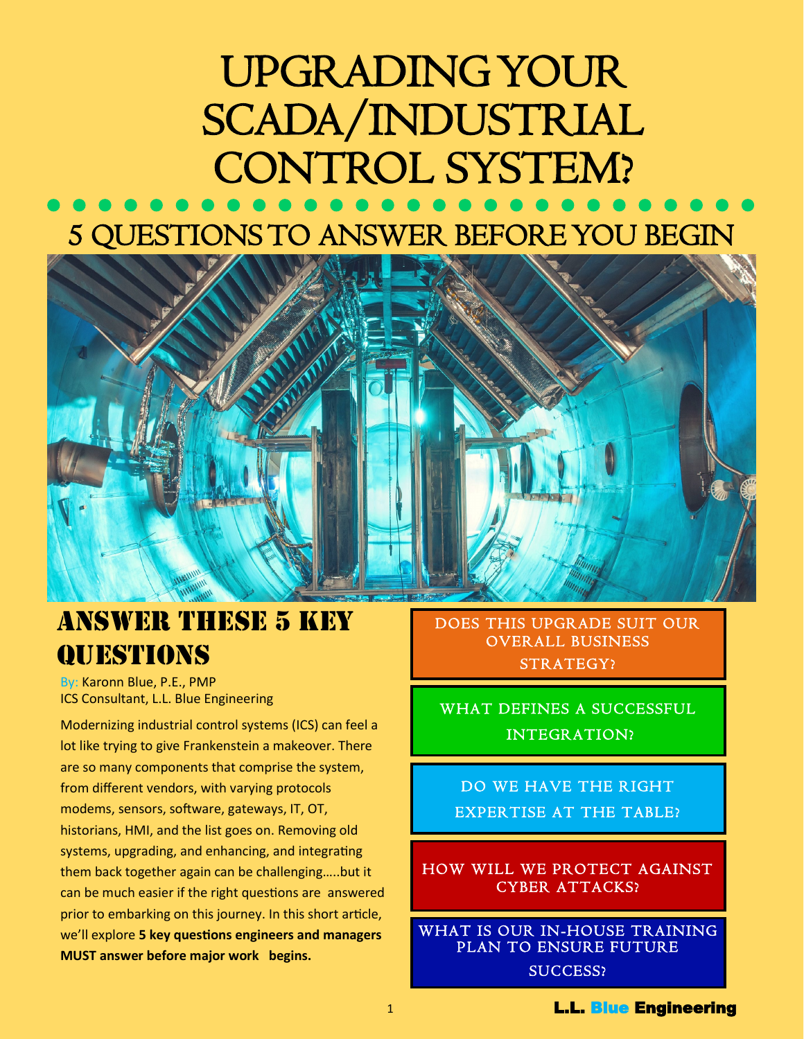# UPGRADING YOUR SCADA/INDUSTRIAL CONTROL SYSTEM?

### 5 QUESTIONS TO ANSWER BEFORE YOU BEGIN



### ANSWER THESE 5 KEY **OUESTIONS**

By: Karonn Blue, P.E., PMP ICS Consultant, L.L. Blue Engineering

Modernizing industrial control systems (ICS) can feel a lot like trying to give Frankenstein a makeover. There are so many components that comprise the system, from different vendors, with varying protocols modems, sensors, software, gateways, IT, OT, historians, HMI, and the list goes on. Removing old systems, upgrading, and enhancing, and integrating them back together again can be challenging…..but it can be much easier if the right questions are answered prior to embarking on this journey. In this short article, we'll explore **5 key questions engineers and managers MUST answer before major work begins.**

DOES THIS UPGRADE SUIT OUR OVERALL BUSINESS STRATEGY?

WHAT DEFINES A SUCCESSFUL INTEGRATION?

DO WE HAVE THE RIGHT EXPERTISE AT THE TABLE?

HOW WILL WE PROTECT AGAINST CYBER ATTACKS?

WHAT IS OUR IN-HOUSE TRAINING PLAN TO ENSURE FUTURE SUCCESS?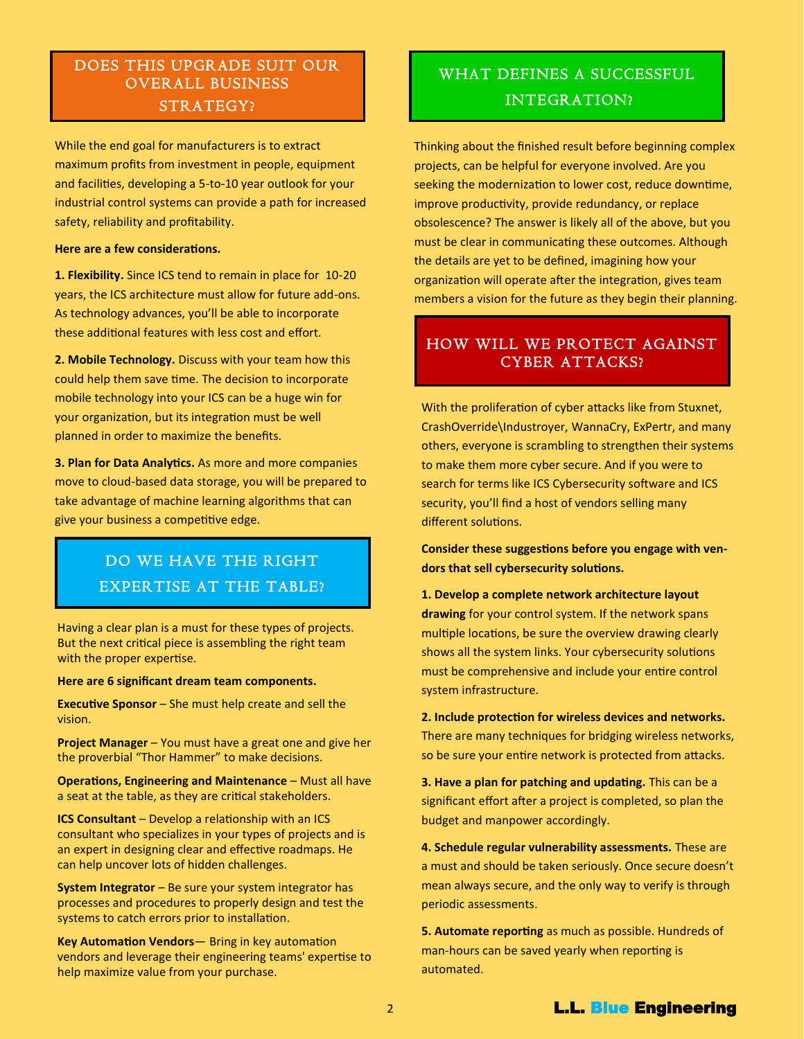#### DOES THIS UPGRADE SUIT OUR OVERALL BUSINESS STRATEGY?

While the end goal for manufacturers is to extract maximum profits from investment in people, equipment and facilities, developing a 5-to-10 year outlook for your industrial control systems can provide a path for increased safety, reliability and profitability.

#### **Here are a few considerations.**

**1. Flexibility.** Since ICS tend to remain in place for 10-20 years, the ICS architecture must allow for future add-ons. As technology advances, you'll be able to incorporate these additional features with less cost and effort.

**2. Mobile Technology.** Discuss with your team how this could help them save time. The decision to incorporate mobile technology into your ICS can be a huge win for your organization, but its integration must be well planned in order to maximize the benefits.

**3. Plan for Data Analytics.** As more and more companies move to cloud-based data storage, you will be prepared to take advantage of machine learning algorithms that can give your business a competitive edge.

#### DO WE HAVE THE RIGHT EXPERTISE AT THE TABLE?

Having a clear plan is a must for these types of projects. But the next critical piece is assembling the right team with the proper expertise.

**Here are 6 significant dream team components.**

**Executive Sponsor** – She must help create and sell the vision.

**Project Manager** – You must have a great one and give her the proverbial "Thor Hammer" to make decisions.

**Operations, Engineering and Maintenance – Must all have** a seat at the table, as they are critical stakeholders.

**ICS Consultant** – Develop a relationship with an ICS consultant who specializes in your types of projects and is an expert in designing clear and effective roadmaps. He can help uncover lots of hidden challenges.

**System Integrator** – Be sure your system integrator has processes and procedures to properly design and test the systems to catch errors prior to installation.

**Key Automation Vendors**— Bring in key automation vendors and leverage their engineering teams' expertise to help maximize value from your purchase.

### WHAT DEFINES A SUCCESSFUL INTEGRATION?

Thinking about the finished result before beginning complex projects, can be helpful for everyone involved. Are you seeking the modernization to lower cost, reduce downtime, improve productivity, provide redundancy, or replace obsolescence? The answer is likely all of the above, but you must be clear in communicating these outcomes. Although the details are yet to be defined, imagining how your organization will operate after the integration, gives team members a vision for the future as they begin their planning.

#### HOW WILL WE PROTECT AGAINST CYBER ATTACKS?

With the proliferation of cyber attacks like from Stuxnet, CrashOverride\Industroyer, WannaCry, ExPertr, and many others, everyone is scrambling to strengthen their systems to make them more cyber secure. And if you were to search for terms like ICS Cybersecurity software and ICS security, you'll find a host of vendors selling many different solutions.

**Consider these suggestions before you engage with vendors that sell cybersecurity solutions.**

**1. Develop a complete network architecture layout drawing** for your control system. If the network spans multiple locations, be sure the overview drawing clearly shows all the system links. Your cybersecurity solutions must be comprehensive and include your entire control system infrastructure.

**2. Include protection for wireless devices and networks.**  There are many techniques for bridging wireless networks, so be sure your entire network is protected from attacks.

**3. Have a plan for patching and updating.** This can be a significant effort after a project is completed, so plan the budget and manpower accordingly.

**4. Schedule regular vulnerability assessments.** These are a must and should be taken seriously. Once secure doesn't mean always secure, and the only way to verify is through periodic assessments.

**5. Automate reporting** as much as possible. Hundreds of man-hours can be saved yearly when reporting is automated.